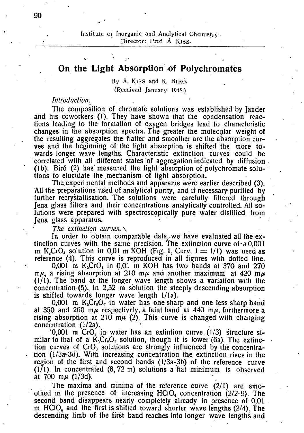# **On the Light Absorption of Polychromatès**

**By A. KlSS and K.** BIRO. **(Received January 1948.)** 

## *Introduction. '*

The composition of chromate solutions was established by Jander and his coworkers (1). They have shown that the condensation reactions leading to the formation of oxygen bridges lead to characteristic changes in the absorption spectra. The greater the molecular weight of the resulting aggregates the flatter and smoother are the absorption curves and the beginning of the light absorption is shifted the more towards longer wave lengths. Characteristic extinction curves could be correlated with all different states of aggregation indicated by diffusion (lb). Birô (2) has measured the light absorption of polychromate solutions to elucidate the mechanism of light absorption!

The experimental methods and apparatus were earlier described (3). AJ1 the preparations used of analytical purity, and if necessary purified by further recrystallisation. The solutions were carefully filtered through Jena glass filters and their concentrations analytically controlled. All solutions were prepared with spectroscopicaliy pure water, distilled from Jena glass apparatus.

#### *The extinction curves. \*

In order to obtain comparable data, we have evaluated all the extinction curves with the same precision. The extinction curve of a  $0.001$ m  $K_2CrO_4$  solution in 0,01 m KOH (Fig. 1, Curv.  $1 = 1/1$ ) was used as reference (4). This curve is reproduced in all figures with dotted line.

0,001 m  $K_2CrO_4$  in 0,01 m KOH has two bands at 370 and 270 *mu,* a rising absorption at 210 *mp* and another maximum at 420 *mp*  (1/1). The band at the longer wave length shows a variation with the concentration  $(5)$ . In 2,52 m solution the steeply descending absorption is shifted towards longer wave length 1/la).

0,001 m  $K_2Cr_2O_7$  in water has one sharp and one less sharp band at 350 and 260 m $\mu$  respectively, a faint band at 440 m $\mu$ , furthermore a rising absorption at 210 m $\mu$  (2). This curve is changed with changing concentration (1/2a).

 $0.001$  m CrO<sub>3</sub> in water has an extintion curve  $(1/3)$  structure similar to that of a  $K_2Cr_2O_7$  solution, though it is lower (6a). The extinction curves of  $CrO<sub>3</sub>$  solutions are strongly influenced by the concentration (l/3a«-3d). With increasing concentration the extinction rises in the region of the first and second bands  $(1/3a-3b)$  of the reference curve  $(1)$ . In concentrated  $(8, 72 \text{ m})$  solutions a flat minimum is observed at  $700 \, \text{m}$  (1/3d).

The maxima and minima of the reference curve  $(2/1)$  are smoothed in the presence of increasing  $HC_1O_4$  concentration (2/2-9). The second band disappears nearly completely already in presence of 0,01 m  $HCIO_4$  and the first is shifted toward shorter wave lengths (2/4). The descending limb of the first band reaches into longer wave lengths and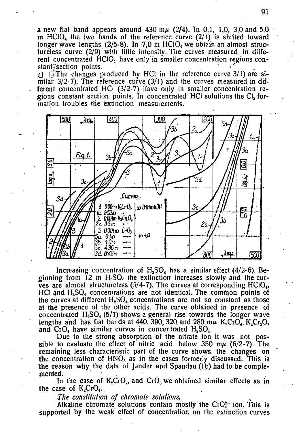a new flat band appears around 430 m $\mu$  (2/4). In 0,1, 1,0, 3,0 and 5,0 m  $HC<sub>1</sub>$  the two bands of the reference curve (2/1) is shifted toward longer wave lengths  $(2/5-8)$ . In 7,0 m HClO<sub>4</sub> we obtain an almost structureless curve  $(\bar{2}/9)$  with little intensity. The curves measured in different concentrated  $HClO<sub>4</sub>$  have only in smaller concentration regions constant/section points.

 $\epsilon$   $\epsilon$   $\epsilon$  The changes produced by HCl in the reference curve 3/1) are similar  $3/2$ -7). The reference curve  $(3/1)$  and the curves measured in different concentrated HCI (3/2-7) have only in smaller concentration regions constant section points. In concentrated HCI solutions the  $Cl<sub>2</sub>$  formation troubles the extinction measurements.



Increasing concentration of  $H_2SO_4$  has a similar effect (4/2-6). Beginning from  $12 \text{ m H}_2\text{SO}_4$  the extinction increases slowly and the curves are almost structureless  $(5/4-7)$ . The curves at corresponding HCiO<sub>4</sub>,  $HCI$  and  $H<sub>2</sub>SO<sub>4</sub>$  concentrations are not identical. The common points of the curves at different  $H_2SO_4$  concentrations are not so constant as those at the presence of the other acids. The curve obtained in presence of concentrated  $H_2SO_4$  (5/7) shows a general rise towards the longer wave lengths and has flat bands at 440, 390, 320 and 280 m $\mu$ . K<sub>2</sub>Cr<sub>0</sub>, K<sub>2</sub>Cr<sub>2</sub>O<sub>2</sub>, and  $CrO<sub>4</sub>$  have similar curves in concentrated  $H<sub>2</sub>SO<sub>4</sub>$ .

Due to the strong absorption of the nitrate ion it was not possible to evaluate the effect of nitric acid below 350 m $\mu$  (6/2-7). The remaining less characteristic part of the curve shows the changes on the concentration of  $HNO<sub>3</sub>$  as in the cases formerly discussed. This is the reason why the data of Jander and Spandau (lb) had to be complemented.

In the case of  $K_2CrO_7$ , and  $CrO_3$  we obtained similar effects as in the case of  $K_2CrO_4$ .

*The constitution of chromate solutions.* 

Alkaline chromate solutions contain mostly the  $CrO<sub>4</sub><sup>2</sup>$  ion. This is supported by the weak effect of concentration on the extinction curves

91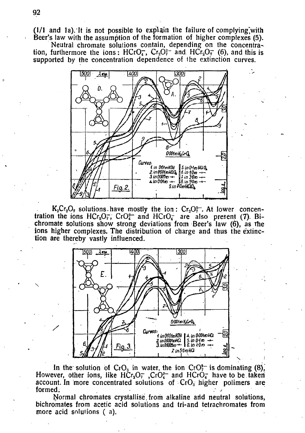$(1/1$  and 1a). It is not possible to explain the failure of complying with Beer's law with the assumption of the formation of higher complexes (5).

Neutral chromate solutions contain, depending on the concentration, furthermore the ions : HCrO<sub>4</sub>, Cr<sub>2</sub>O<sub>7</sub><sup>2</sup> and HCr<sub>2</sub>O<sub>7</sub><sup>2</sup> (6), and this is supported by the concentration dependence of the extinction curves.



 $K_2Cr_2O_7$  solutions have mostly the ion:  $Cr_2O_7^{\circ-}$ . At lower concentration the ions  $HCr_2O_7$ ,  $CrO_4^{2-}$  and  $HCrO_4^-$  are also present (7). Bichromate solutions show strong deviations from Beer's law (6), as the ions higher complexes. The distribution of charge and thus the extinction are thereby vastly influenced.



In the solution of  $C_1O_3$  in water, the ion  $C_1O_7^{2-}$  is dominating (8), However, other ions, like  $HCr_2O_7^-$ ,  $CrO_4^2$  and  $HCrO_4^-$  have to be taken account. In more concentrated solutions of  $CrO<sub>s</sub>$  higher polimers are formed.  $\blacksquare$ 

Normal chromates crystallise from alkaline arid neutral solutions, bichromates from acetic acid solutions and tri-and tetrachromates from more acid solutions (a).

/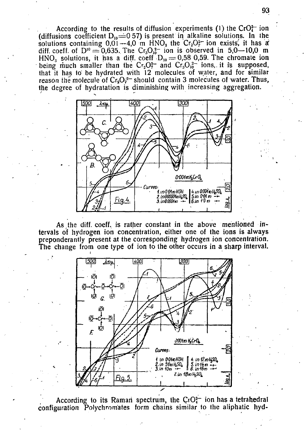According to the results of diffusion experiments (1) the  $CrO<sub>4</sub><sup>2</sup>$  ion (diffusions coefficient  $D_{10} = 0.57$ ) is present in alkaline solutions. In the solutions containing  $0.01 - 4.0$  m HNO<sub>3</sub> the Cr<sub>2</sub>O<sub>2</sub><sup>-</sup> ion exists, it has a diff. coeff. of  $D^0 = 0.635$ . The Cr<sub>3</sub>O<sub>1</sub><sup>2</sup> ion is observed in 5,0–10,0 m HNO<sub>3</sub> solutions, it has a diff. coeff  $D_{10} = 0.58$  0.59. The chromate ion being much smaller than the  $Cr_2O_7^2$  and  $Cr_3O_1^{2-}$  ions, it is supposed, that it has to be hydrated with 12 molecules of water, and for similar reason the molecule of  $Cr_2O_7^{2-}$  should contain 3 molecules of water. Thus, the degree of hydratation is diminishing with increasing aggregation.



As the diff. coeff, is rather constant in the above mentioned intervals of hydrogen ion concentration, either one of the ions is always preponderantly present at the corresponding hydrogen ion concentration. The change from one type of ion to the other occurs in a sharp interval.



According to its Raman spectrum, the  $CrO<sub>4</sub><sup>2</sup>$  ion has a tetrahedral configuration Polychromates form chains similar to the aliphatic hyd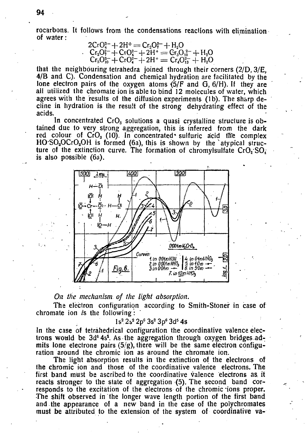rocarbons. It follows from the condensations reactions with elimination of water:

$$
2CrO42 + 2H+ = Cr2O72 + H2OCr2O72 + CrO42 + 2H+ = Cr3O102 + H2OCr3O102 + CrO42 + 2H+ = Cr4O132 + H2O
$$

that the neighbouring tetrahedra joined through their corners (2/D, 3/E, 4/B and C). Condensation and chemical hydration are facilitated by the lone electron pairs of the oxygen atoms  $(5/F$  and  $G$ ,  $6/H$ ). If they are all utilized the chromate ion is able to bind 12 molecules of water, which agrees with the results of the diffusion experiments (lb). The sharp decline in hydration is the result of the strong dehydrating effect of the acids.

In concentrated  $CrO<sub>s</sub>$  solutions a quasi crystalline structure is obtained due to very strong aggregation, this is inferred from the dark red colour of  $CrO_3$  (10). In concentrated\* sulfuric acid ffie complex  $HO$  SO<sub>2</sub>OCrO<sub>2</sub>OH is formed (6a), this is shown by the atypical structure of the extinction curve. The formation of chromylsulfate  $CrO<sub>2</sub> SO<sub>4</sub>$ is also possible (6a).



### *On the mechanism of the light absorption.*

The electron configuration according to Smith-Stoner in case of chromate ion *is* the following:

### 1s<sup>2</sup> 2s<sup>2</sup> 2p<sup>6</sup> 3s<sup>2</sup> 3p<sup>6</sup> 3d<sup>5</sup> 4s

In the case of tetráhedrical configuration the coordinative valence electrons would be  $3d<sup>6</sup> 4s<sup>4</sup>$ . As the aggregation through oxygen bridges admits lone electrone pairs  $(5/g)$ , there will be the same electron configuration around the chromic ion as around the chromate ion.

The light absorption results in the extinction of the electrons of the chromic ion and those of the coordinative valence electrons. The first band must be ascribed to the coordinative valence electrons as it reacts stronger to the state of aggregation (5). The second band corresponds to the excitation of the electrons of the chromic ions proper. The shift observed in the longer wave length portion of the first band and .the appearance of a new band in the case of the polychromates must be attributed to the extension of the system of coordinative va-

94